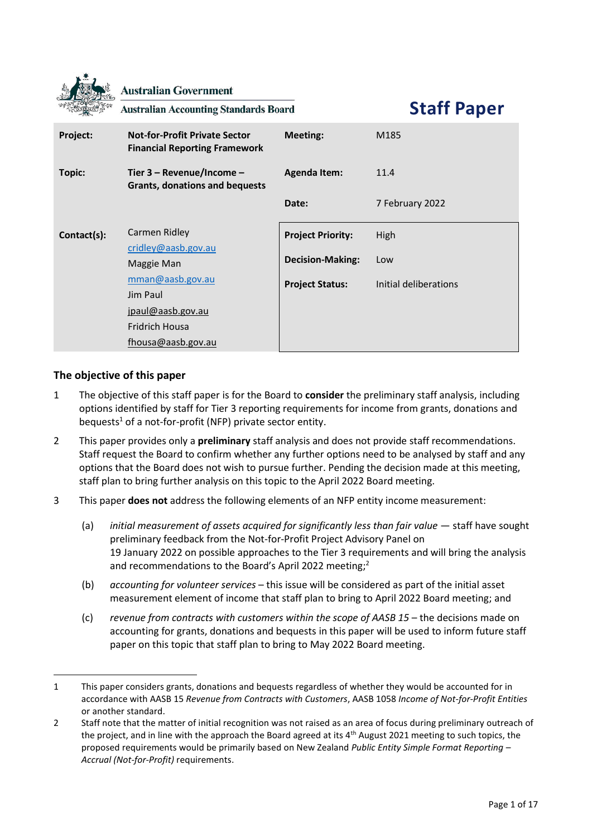|             | <b>Australian Government</b><br><b>Australian Accounting Standards Board</b>                     |                          | <b>Staff Paper</b>    |
|-------------|--------------------------------------------------------------------------------------------------|--------------------------|-----------------------|
| Project:    | <b>Not-for-Profit Private Sector</b><br><b>Financial Reporting Framework</b>                     | <b>Meeting:</b>          | M185                  |
| Topic:      | Tier 3 - Revenue/Income -<br>Grants, donations and bequests                                      | <b>Agenda Item:</b>      | 11.4                  |
|             |                                                                                                  | Date:                    | 7 February 2022       |
| Contact(s): | Carmen Ridley<br>cridley@aasb.gov.au                                                             | <b>Project Priority:</b> | High                  |
|             | Maggie Man                                                                                       | <b>Decision-Making:</b>  | Low                   |
|             | mman@aasb.gov.au<br>Jim Paul<br>jpaul@aasb.gov.au<br><b>Fridrich Housa</b><br>fhousa@aasb.gov.au | <b>Project Status:</b>   | Initial deliberations |

# **The objective of this paper**

- 1 The objective of this staff paper is for the Board to **consider** the preliminary staff analysis, including options identified by staff for Tier 3 reporting requirements for income from grants, donations and bequests<sup>1</sup> of a not-for-profit (NFP) private sector entity.
- 2 This paper provides only a **preliminary** staff analysis and does not provide staff recommendations. Staff request the Board to confirm whether any further options need to be analysed by staff and any options that the Board does not wish to pursue further. Pending the decision made at this meeting, staff plan to bring further analysis on this topic to the April 2022 Board meeting.
- 3 This paper **does not** address the following elements of an NFP entity income measurement:
	- (a) *initial measurement of assets acquired for significantly less than fair value* staff have sought preliminary feedback from the Not-for-Profit Project Advisory Panel on 19 January 2022 on possible approaches to the Tier 3 requirements and will bring the analysis and recommendations to the Board's April 2022 meeting; 2
	- (b) *accounting for volunteer services* this issue will be considered as part of the initial asset measurement element of income that staff plan to bring to April 2022 Board meeting; and
	- (c) *revenue from contracts with customers within the scope of AASB 15* the decisions made on accounting for grants, donations and bequests in this paper will be used to inform future staff paper on this topic that staff plan to bring to May 2022 Board meeting.

<sup>1</sup> This paper considers grants, donations and bequests regardless of whether they would be accounted for in accordance with AASB 15 *Revenue from Contracts with Customers*, AASB 1058 *Income of Not-for-Profit Entities* or another standard.

<sup>2</sup> Staff note that the matter of initial recognition was not raised as an area of focus during preliminary outreach of the project, and in line with the approach the Board agreed at its 4<sup>th</sup> August 2021 meeting to such topics, the proposed requirements would be primarily based on New Zealand *Public Entity Simple Format Reporting – Accrual (Not-for-Profit)* requirements.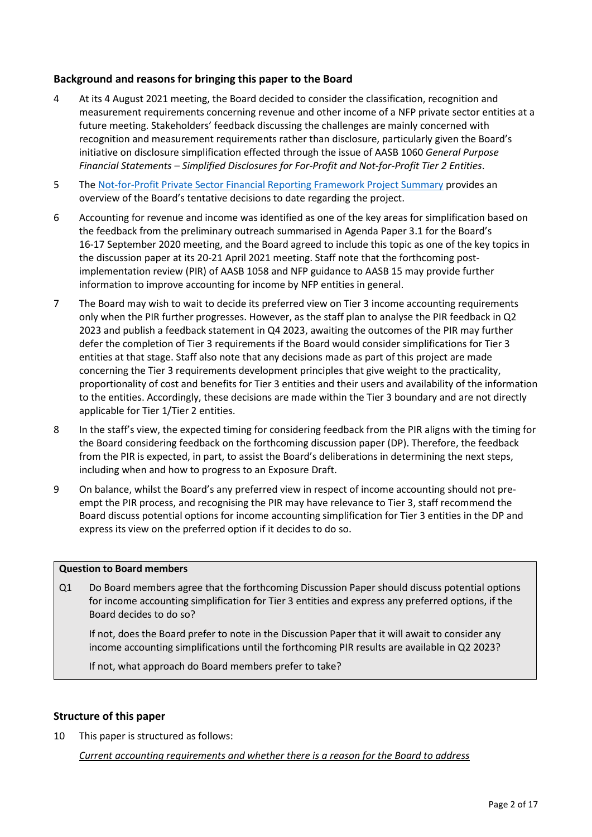# **Background and reasons for bringing this paper to the Board**

- 4 At its 4 August 2021 meeting, the Board decided to consider the classification, recognition and measurement requirements concerning revenue and other income of a NFP private sector entities at a future meeting. Stakeholders' feedback discussing the challenges are mainly concerned with recognition and measurement requirements rather than disclosure, particularly given the Board's initiative on disclosure simplification effected through the issue of AASB 1060 *General Purpose Financial Statements – Simplified Disclosures for For-Profit and Not-for-Profit Tier 2 Entities*.
- 5 Th[e Not-for-Profit Private Sector Financial Reporting Framework Project Summary](https://aasb.gov.au/media/wrokpc24/ps_afr-nfp_11-16.pdf) provides an overview of the Board's tentative decisions to date regarding the project.
- 6 Accounting for revenue and income was identified as one of the key areas for simplification based on the feedback from the preliminary outreach summarised in Agenda Paper 3.1 for the Board's 16-17 September 2020 meeting, and the Board agreed to include this topic as one of the key topics in the discussion paper at its 20-21 April 2021 meeting. Staff note that the forthcoming postimplementation review (PIR) of AASB 1058 and NFP guidance to AASB 15 may provide further information to improve accounting for income by NFP entities in general.
- 7 The Board may wish to wait to decide its preferred view on Tier 3 income accounting requirements only when the PIR further progresses. However, as the staff plan to analyse the PIR feedback in Q2 2023 and publish a feedback statement in Q4 2023, awaiting the outcomes of the PIR may further defer the completion of Tier 3 requirements if the Board would consider simplifications for Tier 3 entities at that stage. Staff also note that any decisions made as part of this project are made concerning the Tier 3 requirements development principles that give weight to the practicality, proportionality of cost and benefits for Tier 3 entities and their users and availability of the information to the entities. Accordingly, these decisions are made within the Tier 3 boundary and are not directly applicable for Tier 1/Tier 2 entities.
- 8 In the staff's view, the expected timing for considering feedback from the PIR aligns with the timing for the Board considering feedback on the forthcoming discussion paper (DP). Therefore, the feedback from the PIR is expected, in part, to assist the Board's deliberations in determining the next steps, including when and how to progress to an Exposure Draft.
- 9 On balance, whilst the Board's any preferred view in respect of income accounting should not preempt the PIR process, and recognising the PIR may have relevance to Tier 3, staff recommend the Board discuss potential options for income accounting simplification for Tier 3 entities in the DP and express its view on the preferred option if it decides to do so.

## **Question to Board members**

Q1 Do Board members agree that the forthcoming Discussion Paper should discuss potential options for income accounting simplification for Tier 3 entities and express any preferred options, if the Board decides to do so?

If not, does the Board prefer to note in the Discussion Paper that it will await to consider any income accounting simplifications until the forthcoming PIR results are available in Q2 2023?

If not, what approach do Board members prefer to take?

## **Structure of this paper**

10 This paper is structured as follows:

*Current accounting requirements and whether there is a reason for the Board to address*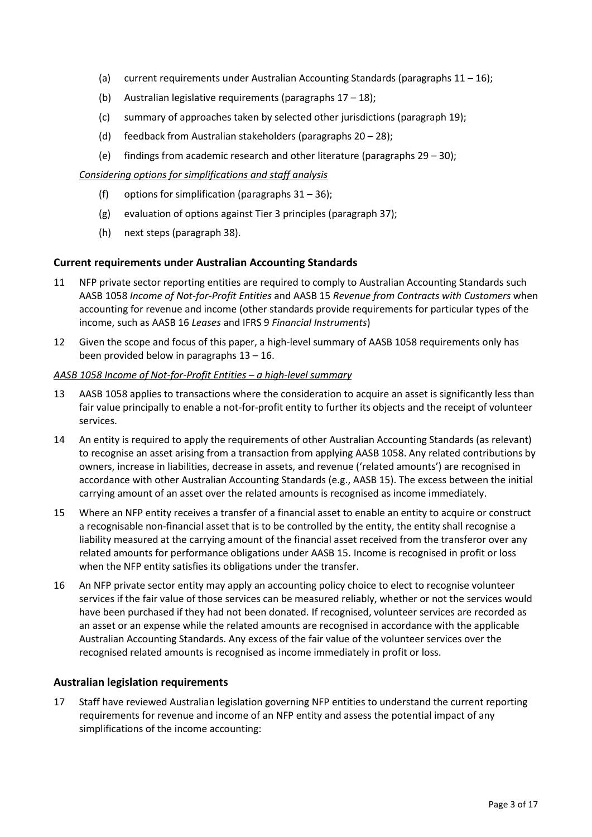- (a) current requirements under Australian Accounting Standards (paragraphs  $11 16$ );
- (b) Australian legislative requirements (paragraphs  $17 18$ );
- (c) summary of approaches taken by selected other jurisdictions (paragraph 19);
- (d) feedback from Australian stakeholders (paragraphs 20 28);
- (e) findings from academic research and other literature (paragraphs  $29 30$ );

### *Considering options for simplifications and staff analysis*

- (f) options for simplification (paragraphs  $31 36$ );
- (g) evaluation of options against Tier 3 principles (paragraph 37);
- (h) next steps (paragraph 38).

## **Current requirements under Australian Accounting Standards**

- 11 NFP private sector reporting entities are required to comply to Australian Accounting Standards such AASB 1058 *Income of Not-for-Profit Entities* and AASB 15 *Revenue from Contracts with Customers* when accounting for revenue and income (other standards provide requirements for particular types of the income, such as AASB 16 *Leases* and IFRS 9 *Financial Instruments*)
- 12 Given the scope and focus of this paper, a high-level summary of AASB 1058 requirements only has been provided below in paragraphs 13 – 16.

#### *AASB 1058 Income of Not-for-Profit Entities – a high-level summary*

- 13 AASB 1058 applies to transactions where the consideration to acquire an asset is significantly less than fair value principally to enable a not-for-profit entity to further its objects and the receipt of volunteer services.
- 14 An entity is required to apply the requirements of other Australian Accounting Standards (as relevant) to recognise an asset arising from a transaction from applying AASB 1058. Any related contributions by owners, increase in liabilities, decrease in assets, and revenue ('related amounts') are recognised in accordance with other Australian Accounting Standards (e.g., AASB 15). The excess between the initial carrying amount of an asset over the related amounts is recognised as income immediately.
- 15 Where an NFP entity receives a transfer of a financial asset to enable an entity to acquire or construct a recognisable non-financial asset that is to be controlled by the entity, the entity shall recognise a liability measured at the carrying amount of the financial asset received from the transferor over any related amounts for performance obligations under AASB 15. Income is recognised in profit or loss when the NFP entity satisfies its obligations under the transfer.
- 16 An NFP private sector entity may apply an accounting policy choice to elect to recognise volunteer services if the fair value of those services can be measured reliably, whether or not the services would have been purchased if they had not been donated. If recognised, volunteer services are recorded as an asset or an expense while the related amounts are recognised in accordance with the applicable Australian Accounting Standards. Any excess of the fair value of the volunteer services over the recognised related amounts is recognised as income immediately in profit or loss.

## **Australian legislation requirements**

17 Staff have reviewed Australian legislation governing NFP entities to understand the current reporting requirements for revenue and income of an NFP entity and assess the potential impact of any simplifications of the income accounting: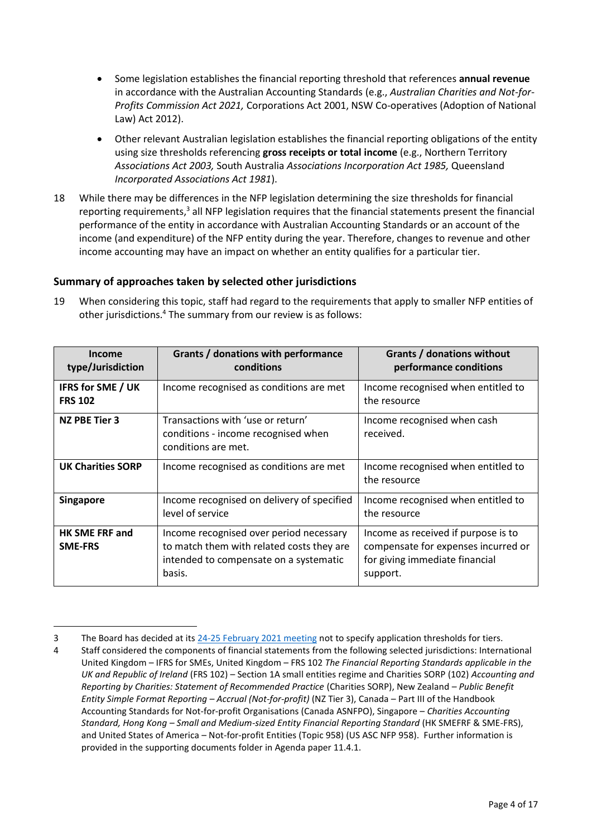- Some legislation establishes the financial reporting threshold that references **annual revenue** in accordance with the Australian Accounting Standards (e.g., *Australian Charities and Not-for-Profits Commission Act 2021,* Corporations Act 2001, NSW Co-operatives (Adoption of National Law) Act 2012).
- Other relevant Australian legislation establishes the financial reporting obligations of the entity using size thresholds referencing **gross receipts or total income** (e.g., Northern Territory *Associations Act 2003,* South Australia *Associations Incorporation Act 1985,* Queensland *Incorporated Associations Act 1981*).
- 18 While there may be differences in the NFP legislation determining the size thresholds for financial reporting requirements,<sup>3</sup> all NFP legislation requires that the financial statements present the financial performance of the entity in accordance with Australian Accounting Standards or an account of the income (and expenditure) of the NFP entity during the year. Therefore, changes to revenue and other income accounting may have an impact on whether an entity qualifies for a particular tier.

## **Summary of approaches taken by selected other jurisdictions**

19 When considering this topic, staff had regard to the requirements that apply to smaller NFP entities of other jurisdictions.<sup>4</sup> The summary from our review is as follows:

| Income<br>type/Jurisdiction                | Grants / donations with performance<br>conditions                                                                                        | Grants / donations without<br>performance conditions                                                                     |  |
|--------------------------------------------|------------------------------------------------------------------------------------------------------------------------------------------|--------------------------------------------------------------------------------------------------------------------------|--|
| <b>IFRS for SME / UK</b><br><b>FRS 102</b> | Income recognised as conditions are met                                                                                                  | Income recognised when entitled to<br>the resource                                                                       |  |
| NZ PBE Tier 3                              | Transactions with 'use or return'<br>conditions - income recognised when<br>conditions are met.                                          | Income recognised when cash<br>received.                                                                                 |  |
| <b>UK Charities SORP</b>                   | Income recognised as conditions are met                                                                                                  | Income recognised when entitled to<br>the resource                                                                       |  |
| <b>Singapore</b>                           | Income recognised on delivery of specified<br>level of service                                                                           | Income recognised when entitled to<br>the resource                                                                       |  |
| <b>HK SME FRF and</b><br><b>SME-FRS</b>    | Income recognised over period necessary<br>to match them with related costs they are<br>intended to compensate on a systematic<br>basis. | Income as received if purpose is to<br>compensate for expenses incurred or<br>for giving immediate financial<br>support. |  |

<sup>3</sup> The Board has decided at it[s 24-25 February 2021 meeting](https://aasb.gov.au/admin/file/content102/c3/AASBApprovedMinutesM179_24-25Feb21.pdf) not to specify application thresholds for tiers.

<sup>4</sup> Staff considered the components of financial statements from the following selected jurisdictions: International United Kingdom – IFRS for SMEs, United Kingdom – FRS 102 *The Financial Reporting Standards applicable in the UK and Republic of Ireland* (FRS 102) – Section 1A small entities regime and Charities SORP (102) *Accounting and Reporting by Charities: Statement of Recommended Practice* (Charities SORP), New Zealand – *Public Benefit Entity Simple Format Reporting – Accrual (Not-for-profit)* (NZ Tier 3), Canada – Part III of the Handbook Accounting Standards for Not-for-profit Organisations (Canada ASNFPO), Singapore – *Charities Accounting Standard, Hong Kong – Small and Medium-sized Entity Financial Reporting Standard* (HK SMEFRF & SME-FRS), and United States of America – Not-for-profit Entities (Topic 958) (US ASC NFP 958). Further information is provided in the supporting documents folder in Agenda paper 11.4.1.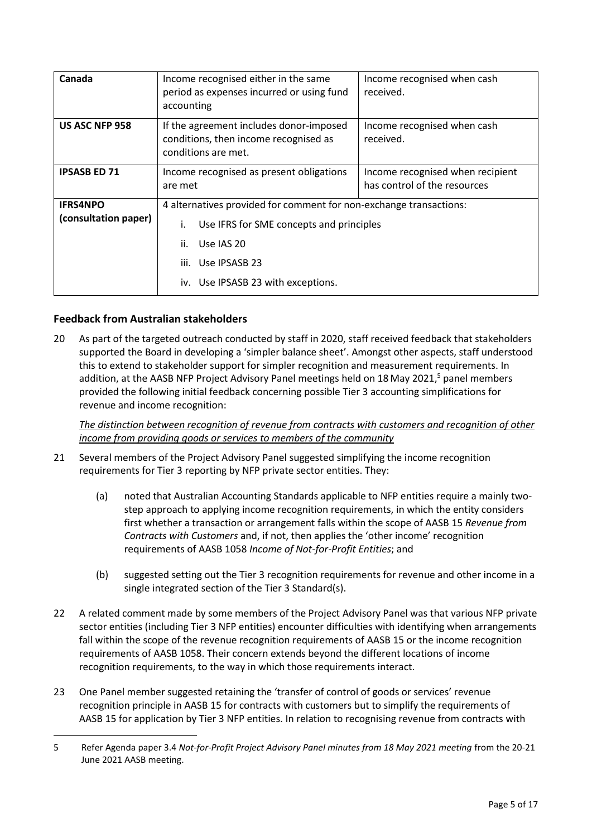| Canada                                                                                                                                                                                                                                        | Income recognised either in the same<br>period as expenses incurred or using fund<br>accounting         | Income recognised when cash<br>received.                         |
|-----------------------------------------------------------------------------------------------------------------------------------------------------------------------------------------------------------------------------------------------|---------------------------------------------------------------------------------------------------------|------------------------------------------------------------------|
| US ASC NFP 958                                                                                                                                                                                                                                | If the agreement includes donor-imposed<br>conditions, then income recognised as<br>conditions are met. | Income recognised when cash<br>received.                         |
| <b>IPSASB ED 71</b>                                                                                                                                                                                                                           | Income recognised as present obligations<br>are met                                                     | Income recognised when recipient<br>has control of the resources |
| 4 alternatives provided for comment for non-exchange transactions:<br><b>IFRS4NPO</b><br>(consultation paper)<br>Use IFRS for SME concepts and principles<br>Use JAS 20<br>ii.<br>Use IPSASB 23<br>iii.<br>iv. Use IPSASB 23 with exceptions. |                                                                                                         |                                                                  |

# **Feedback from Australian stakeholders**

20 As part of the targeted outreach conducted by staff in 2020, staff received feedback that stakeholders supported the Board in developing a 'simpler balance sheet'. Amongst other aspects, staff understood this to extend to stakeholder support for simpler recognition and measurement requirements. In addition, at the AASB NFP Project Advisory Panel meetings held on 18May 2021, <sup>5</sup> panel members provided the following initial feedback concerning possible Tier 3 accounting simplifications for revenue and income recognition:

*The distinction between recognition of revenue from contracts with customers and recognition of other income from providing goods or services to members of the community*

- 21 Several members of the Project Advisory Panel suggested simplifying the income recognition requirements for Tier 3 reporting by NFP private sector entities. They:
	- (a) noted that Australian Accounting Standards applicable to NFP entities require a mainly twostep approach to applying income recognition requirements, in which the entity considers first whether a transaction or arrangement falls within the scope of AASB 15 *Revenue from Contracts with Customers* and, if not, then applies the 'other income' recognition requirements of AASB 1058 *Income of Not-for-Profit Entities*; and
	- (b) suggested setting out the Tier 3 recognition requirements for revenue and other income in a single integrated section of the Tier 3 Standard(s).
- 22 A related comment made by some members of the Project Advisory Panel was that various NFP private sector entities (including Tier 3 NFP entities) encounter difficulties with identifying when arrangements fall within the scope of the revenue recognition requirements of AASB 15 or the income recognition requirements of AASB 1058. Their concern extends beyond the different locations of income recognition requirements, to the way in which those requirements interact.
- 23 One Panel member suggested retaining the 'transfer of control of goods or services' revenue recognition principle in AASB 15 for contracts with customers but to simplify the requirements of AASB 15 for application by Tier 3 NFP entities. In relation to recognising revenue from contracts with

<sup>5</sup> Refer Agenda paper 3.4 *Not-for-Profit Project Advisory Panel minutes from 18 May 2021 meeting* from the 20-21 June 2021 AASB meeting.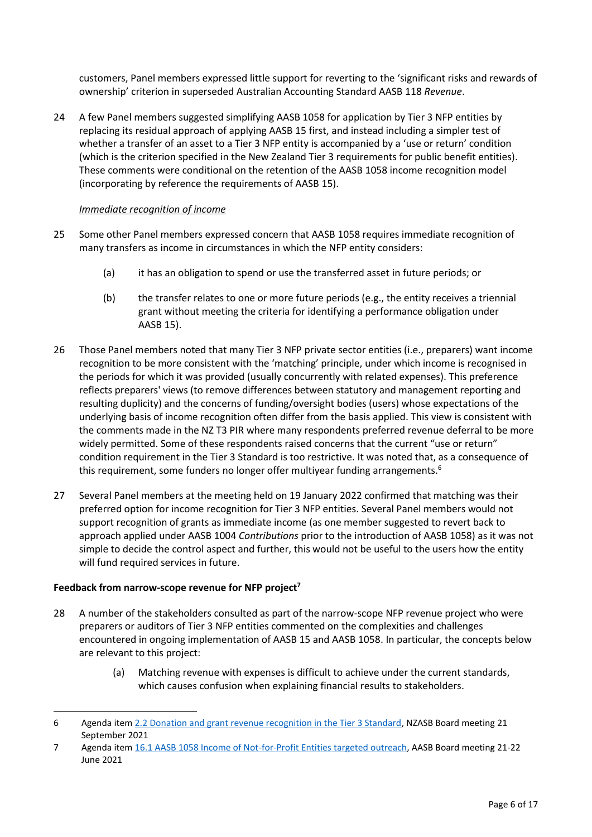customers, Panel members expressed little support for reverting to the 'significant risks and rewards of ownership' criterion in superseded Australian Accounting Standard AASB 118 *Revenue*.

24 A few Panel members suggested simplifying AASB 1058 for application by Tier 3 NFP entities by replacing its residual approach of applying AASB 15 first, and instead including a simpler test of whether a transfer of an asset to a Tier 3 NFP entity is accompanied by a 'use or return' condition (which is the criterion specified in the New Zealand Tier 3 requirements for public benefit entities). These comments were conditional on the retention of the AASB 1058 income recognition model (incorporating by reference the requirements of AASB 15).

## *Immediate recognition of income*

- 25 Some other Panel members expressed concern that AASB 1058 requires immediate recognition of many transfers as income in circumstances in which the NFP entity considers:
	- (a) it has an obligation to spend or use the transferred asset in future periods; or
	- (b) the transfer relates to one or more future periods (e.g., the entity receives a triennial grant without meeting the criteria for identifying a performance obligation under AASB 15).
- 26 Those Panel members noted that many Tier 3 NFP private sector entities (i.e., preparers) want income recognition to be more consistent with the 'matching' principle, under which income is recognised in the periods for which it was provided (usually concurrently with related expenses). This preference reflects preparers' views (to remove differences between statutory and management reporting and resulting duplicity) and the concerns of funding/oversight bodies (users) whose expectations of the underlying basis of income recognition often differ from the basis applied. This view is consistent with the comments made in the NZ T3 PIR where many respondents preferred revenue deferral to be more widely permitted. Some of these respondents raised concerns that the current "use or return" condition requirement in the Tier 3 Standard is too restrictive. It was noted that, as a consequence of this requirement, some funders no longer offer multiyear funding arrangements.<sup>6</sup>
- 27 Several Panel members at the meeting held on 19 January 2022 confirmed that matching was their preferred option for income recognition for Tier 3 NFP entities. Several Panel members would not support recognition of grants as immediate income (as one member suggested to revert back to approach applied under AASB 1004 *Contributions* prior to the introduction of AASB 1058) as it was not simple to decide the control aspect and further, this would not be useful to the users how the entity will fund required services in future.

## **Feedback from narrow-scope revenue for NFP project<sup>7</sup>**

- 28 A number of the stakeholders consulted as part of the narrow-scope NFP revenue project who were preparers or auditors of Tier 3 NFP entities commented on the complexities and challenges encountered in ongoing implementation of AASB 15 and AASB 1058. In particular, the concepts below are relevant to this project:
	- (a) Matching revenue with expenses is difficult to achieve under the current standards, which causes confusion when explaining financial results to stakeholders.

<sup>6</sup> Agenda ite[m 2.2 Donation and grant revenue recognition in the Tier 3 Standard,](file://///mel_1/AASB_Profiles/fhousa/Downloads/NZASB%20Public%20Meeting%20Papers%2021%20September%202021%20(1).pdf) NZASB Board meeting 21 September 2021

<sup>7</sup> Agenda ite[m 16.1 AASB 1058 Income of Not-for-Profit Entities targeted outreach,](https://aasb.gov.au/media/41qaazsd/16-1_sp_aasb1058_m181_pp.pdf) AASB Board meeting 21-22 June 2021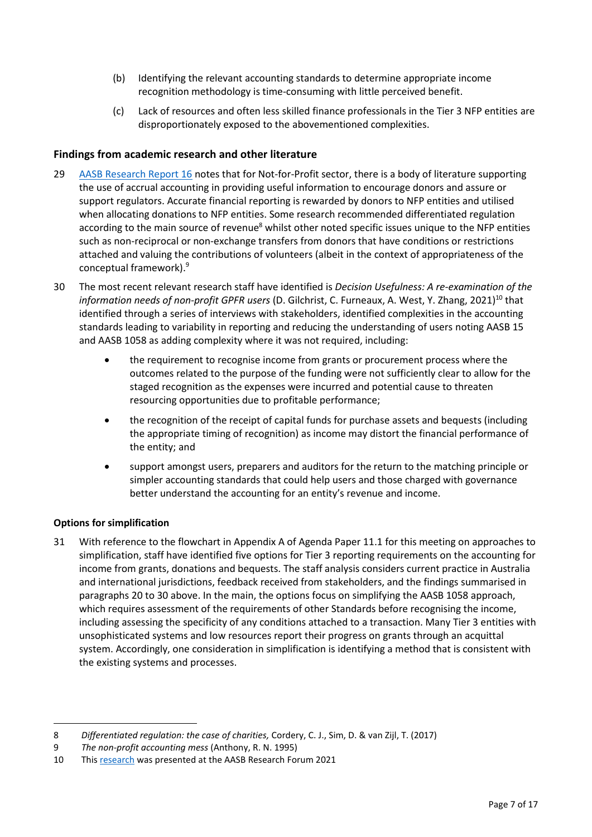- (b) Identifying the relevant accounting standards to determine appropriate income recognition methodology is time-consuming with little perceived benefit.
- (c) Lack of resources and often less skilled finance professionals in the Tier 3 NFP entities are disproportionately exposed to the abovementioned complexities.

# **Findings from academic research and other literature**

- 29 [AASB Research Report 16](https://aasb.gov.au/admin/file/content102/c3/RR16_FinancialReportingByNonCorporateSmallEntities_04-21.pdf) notes that for Not-for-Profit sector, there is a body of literature supporting the use of accrual accounting in providing useful information to encourage donors and assure or support regulators. Accurate financial reporting is rewarded by donors to NFP entities and utilised when allocating donations to NFP entities. Some research recommended differentiated regulation according to the main source of revenue<sup>8</sup> whilst other noted specific issues unique to the NFP entities such as non-reciprocal or non-exchange transfers from donors that have conditions or restrictions attached and valuing the contributions of volunteers (albeit in the context of appropriateness of the conceptual framework). 9
- 30 The most recent relevant research staff have identified is *Decision Usefulness: A re-examination of the information needs of non-profit GPFR users* (D. Gilchrist, C. Furneaux, A. West, Y. Zhang, 2021)<sup>10</sup> that identified through a series of interviews with stakeholders, identified complexities in the accounting standards leading to variability in reporting and reducing the understanding of users noting AASB 15 and AASB 1058 as adding complexity where it was not required, including:
	- the requirement to recognise income from grants or procurement process where the outcomes related to the purpose of the funding were not sufficiently clear to allow for the staged recognition as the expenses were incurred and potential cause to threaten resourcing opportunities due to profitable performance;
	- the recognition of the receipt of capital funds for purchase assets and bequests (including the appropriate timing of recognition) as income may distort the financial performance of the entity; and
	- support amongst users, preparers and auditors for the return to the matching principle or simpler accounting standards that could help users and those charged with governance better understand the accounting for an entity's revenue and income.

# **Options for simplification**

31 With reference to the flowchart in Appendix A of Agenda Paper 11.1 for this meeting on approaches to simplification, staff have identified five options for Tier 3 reporting requirements on the accounting for income from grants, donations and bequests. The staff analysis considers current practice in Australia and international jurisdictions, feedback received from stakeholders, and the findings summarised in paragraphs 20 to 30 above. In the main, the options focus on simplifying the AASB 1058 approach, which requires assessment of the requirements of other Standards before recognising the income, including assessing the specificity of any conditions attached to a transaction. Many Tier 3 entities with unsophisticated systems and low resources report their progress on grants through an acquittal system. Accordingly, one consideration in simplification is identifying a method that is consistent with the existing systems and processes.

<sup>8</sup> *Differentiated regulation: the case of charities,* Cordery, C. J., Sim, D. & van Zijl, T. (2017)

<sup>9</sup> *The non-profit accounting mess* (Anthony, R. N. 1995)

<sup>10</sup> Thi[s research](https://aasb.gov.au/media/5oelznke/rf2021-gilchrist_et_al_decisionusefulnesspaper.pdf) was presented at the AASB Research Forum 2021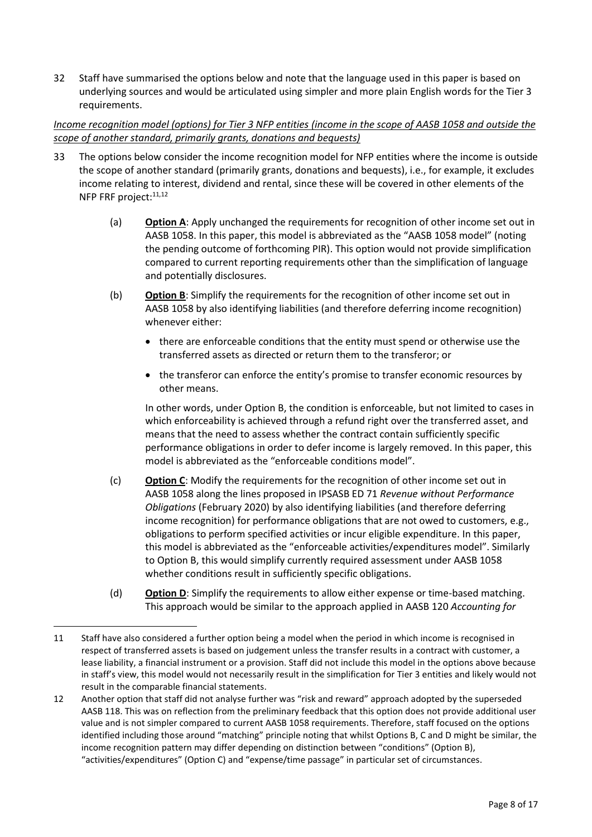32 Staff have summarised the options below and note that the language used in this paper is based on underlying sources and would be articulated using simpler and more plain English words for the Tier 3 requirements.

# *Income recognition model (options) for Tier 3 NFP entities (income in the scope of AASB 1058 and outside the scope of another standard, primarily grants, donations and bequests)*

- 33 The options below consider the income recognition model for NFP entities where the income is outside the scope of another standard (primarily grants, donations and bequests), i.e., for example, it excludes income relating to interest, dividend and rental, since these will be covered in other elements of the NFP FRF project:<sup>11,12</sup>
	- (a) **Option A**: Apply unchanged the requirements for recognition of other income set out in AASB 1058. In this paper, this model is abbreviated as the "AASB 1058 model" (noting the pending outcome of forthcoming PIR). This option would not provide simplification compared to current reporting requirements other than the simplification of language and potentially disclosures.
	- (b) **Option B**: Simplify the requirements for the recognition of other income set out in AASB 1058 by also identifying liabilities (and therefore deferring income recognition) whenever either:
		- there are enforceable conditions that the entity must spend or otherwise use the transferred assets as directed or return them to the transferor; or
		- the transferor can enforce the entity's promise to transfer economic resources by other means.

In other words, under Option B, the condition is enforceable, but not limited to cases in which enforceability is achieved through a refund right over the transferred asset, and means that the need to assess whether the contract contain sufficiently specific performance obligations in order to defer income is largely removed. In this paper, this model is abbreviated as the "enforceable conditions model".

- (c) **Option C**: Modify the requirements for the recognition of other income set out in AASB 1058 along the lines proposed in IPSASB ED 71 *Revenue without Performance Obligations* (February 2020) by also identifying liabilities (and therefore deferring income recognition) for performance obligations that are not owed to customers, e.g., obligations to perform specified activities or incur eligible expenditure. In this paper, this model is abbreviated as the "enforceable activities/expenditures model". Similarly to Option B, this would simplify currently required assessment under AASB 1058 whether conditions result in sufficiently specific obligations.
- (d) **Option D**: Simplify the requirements to allow either expense or time-based matching. This approach would be similar to the approach applied in AASB 120 *Accounting for*

12 Another option that staff did not analyse further was "risk and reward" approach adopted by the superseded AASB 118. This was on reflection from the preliminary feedback that this option does not provide additional user value and is not simpler compared to current AASB 1058 requirements. Therefore, staff focused on the options identified including those around "matching" principle noting that whilst Options B, C and D might be similar, the income recognition pattern may differ depending on distinction between "conditions" (Option B), "activities/expenditures" (Option C) and "expense/time passage" in particular set of circumstances.

<sup>11</sup> Staff have also considered a further option being a model when the period in which income is recognised in respect of transferred assets is based on judgement unless the transfer results in a contract with customer, a lease liability, a financial instrument or a provision. Staff did not include this model in the options above because in staff's view, this model would not necessarily result in the simplification for Tier 3 entities and likely would not result in the comparable financial statements.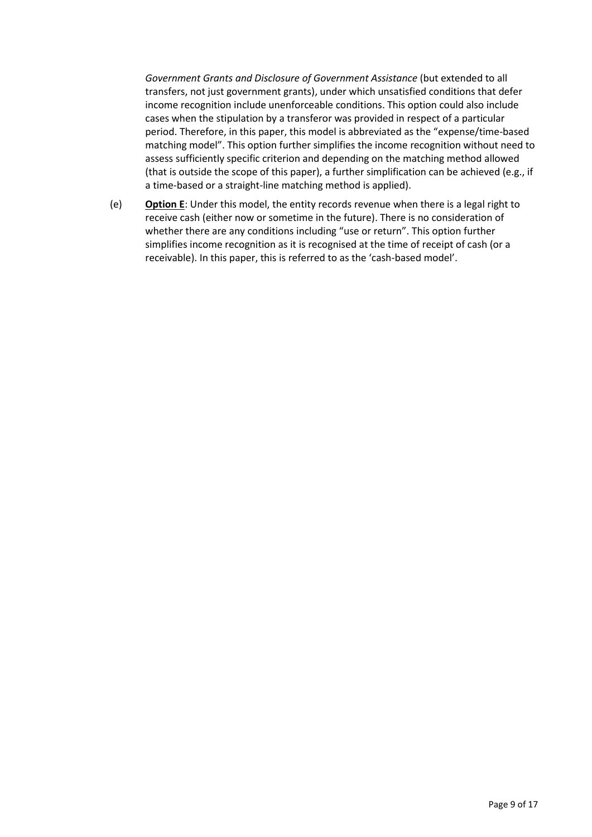*Government Grants and Disclosure of Government Assistance* (but extended to all transfers, not just government grants), under which unsatisfied conditions that defer income recognition include unenforceable conditions. This option could also include cases when the stipulation by a transferor was provided in respect of a particular period. Therefore, in this paper, this model is abbreviated as the "expense/time-based matching model". This option further simplifies the income recognition without need to assess sufficiently specific criterion and depending on the matching method allowed (that is outside the scope of this paper), a further simplification can be achieved (e.g., if a time-based or a straight-line matching method is applied).

(e) **Option E**: Under this model, the entity records revenue when there is a legal right to receive cash (either now or sometime in the future). There is no consideration of whether there are any conditions including "use or return". This option further simplifies income recognition as it is recognised at the time of receipt of cash (or a receivable). In this paper, this is referred to as the 'cash-based model'.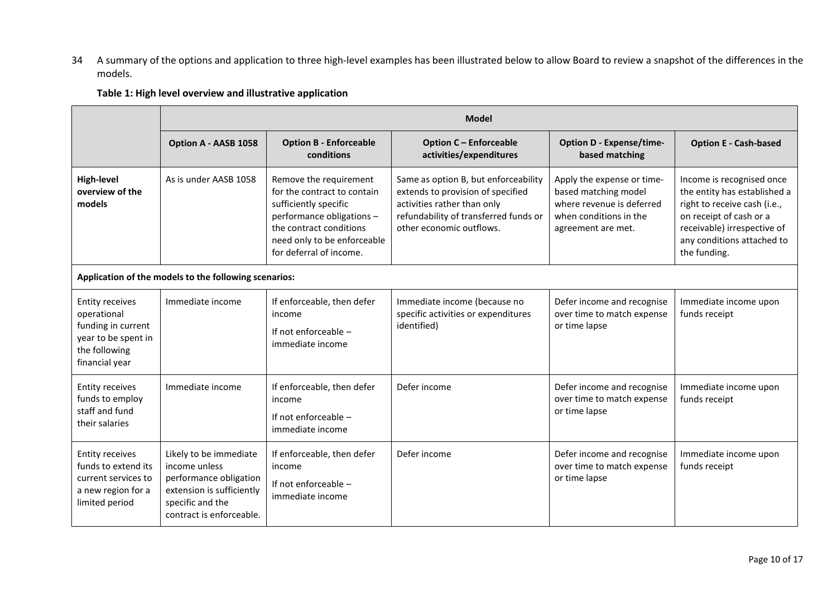34 A summary of the options and application to three high-level examples has been illustrated below to allow Board to review a snapshot of the differences in the models.

## **Table 1: High level overview and illustrative application**

|                                                                                                                       | <b>Model</b>                                                                                                                                   |                                                                                                                                                                                                  |                                                                                                                                                                               |                                                                                                                                 |                                                                                                                                                                                                   |  |
|-----------------------------------------------------------------------------------------------------------------------|------------------------------------------------------------------------------------------------------------------------------------------------|--------------------------------------------------------------------------------------------------------------------------------------------------------------------------------------------------|-------------------------------------------------------------------------------------------------------------------------------------------------------------------------------|---------------------------------------------------------------------------------------------------------------------------------|---------------------------------------------------------------------------------------------------------------------------------------------------------------------------------------------------|--|
|                                                                                                                       | Option A - AASB 1058                                                                                                                           | <b>Option B - Enforceable</b><br>conditions                                                                                                                                                      | <b>Option C - Enforceable</b><br>activities/expenditures                                                                                                                      | <b>Option D - Expense/time-</b><br>based matching                                                                               | <b>Option E - Cash-based</b>                                                                                                                                                                      |  |
| <b>High-level</b><br>overview of the<br>models                                                                        | As is under AASB 1058                                                                                                                          | Remove the requirement<br>for the contract to contain<br>sufficiently specific<br>performance obligations -<br>the contract conditions<br>need only to be enforceable<br>for deferral of income. | Same as option B, but enforceability<br>extends to provision of specified<br>activities rather than only<br>refundability of transferred funds or<br>other economic outflows. | Apply the expense or time-<br>based matching model<br>where revenue is deferred<br>when conditions in the<br>agreement are met. | Income is recognised once<br>the entity has established a<br>right to receive cash (i.e.,<br>on receipt of cash or a<br>receivable) irrespective of<br>any conditions attached to<br>the funding. |  |
|                                                                                                                       | Application of the models to the following scenarios:                                                                                          |                                                                                                                                                                                                  |                                                                                                                                                                               |                                                                                                                                 |                                                                                                                                                                                                   |  |
| <b>Entity receives</b><br>operational<br>funding in current<br>year to be spent in<br>the following<br>financial year | Immediate income                                                                                                                               | If enforceable, then defer<br>income<br>If not enforceable -<br>immediate income                                                                                                                 | Immediate income (because no<br>specific activities or expenditures<br>identified)                                                                                            | Defer income and recognise<br>over time to match expense<br>or time lapse                                                       | Immediate income upon<br>funds receipt                                                                                                                                                            |  |
| <b>Entity receives</b><br>funds to employ<br>staff and fund<br>their salaries                                         | Immediate income                                                                                                                               | If enforceable, then defer<br>income<br>If not enforceable -<br>immediate income                                                                                                                 | Defer income                                                                                                                                                                  | Defer income and recognise<br>over time to match expense<br>or time lapse                                                       | Immediate income upon<br>funds receipt                                                                                                                                                            |  |
| <b>Entity receives</b><br>funds to extend its<br>current services to<br>a new region for a<br>limited period          | Likely to be immediate<br>income unless<br>performance obligation<br>extension is sufficiently<br>specific and the<br>contract is enforceable. | If enforceable, then defer<br>income<br>If not enforceable -<br>immediate income                                                                                                                 | Defer income                                                                                                                                                                  | Defer income and recognise<br>over time to match expense<br>or time lapse                                                       | Immediate income upon<br>funds receipt                                                                                                                                                            |  |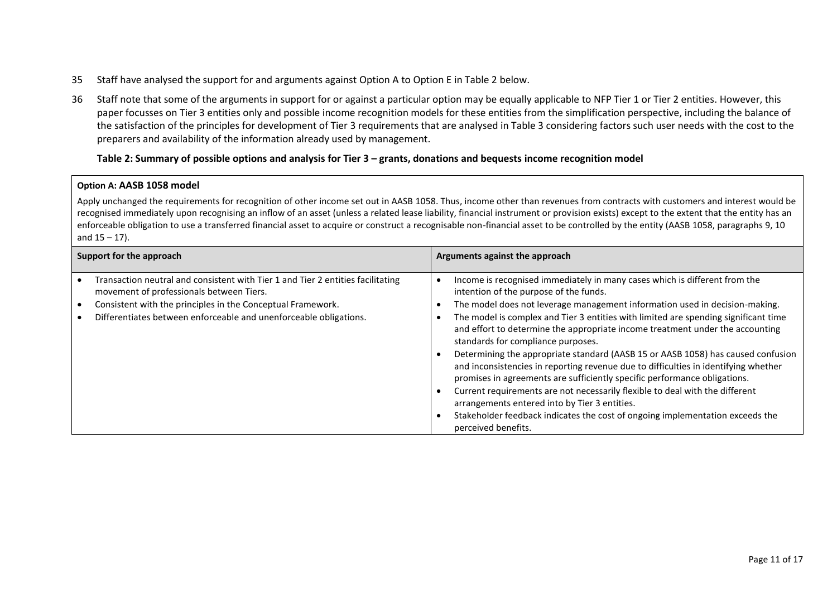- 35 Staff have analysed the support for and arguments against Option A to Option E in Table 2 below.
- 36 Staff note that some of the arguments in support for or against a particular option may be equally applicable to NFP Tier 1 or Tier 2 entities. However, this paper focusses on Tier 3 entities only and possible income recognition models for these entities from the simplification perspective, including the balance of the satisfaction of the principles for development of Tier 3 requirements that are analysed in Table 3 considering factors such user needs with the cost to the preparers and availability of the information already used by management.

### **Table 2: Summary of possible options and analysis for Tier 3 – grants, donations and bequests income recognition model**

#### **Option A: AASB 1058 model**

Apply unchanged the requirements for recognition of other income set out in AASB 1058. Thus, income other than revenues from contracts with customers and interest would be recognised immediately upon recognising an inflow of an asset (unless a related lease liability, financial instrument or provision exists) except to the extent that the entity has an enforceable obligation to use a transferred financial asset to acquire or construct a recognisable non-financial asset to be controlled by the entity (AASB 1058, paragraphs 9, 10 and  $15 - 17$ ).

| Support for the approach |                                                                                                                                  | Arguments against the approach                                                                                                                                                                                                                                                                                                                                                                                                                                                                                                                                                                                                    |  |  |
|--------------------------|----------------------------------------------------------------------------------------------------------------------------------|-----------------------------------------------------------------------------------------------------------------------------------------------------------------------------------------------------------------------------------------------------------------------------------------------------------------------------------------------------------------------------------------------------------------------------------------------------------------------------------------------------------------------------------------------------------------------------------------------------------------------------------|--|--|
|                          | Transaction neutral and consistent with Tier 1 and Tier 2 entities facilitating<br>movement of professionals between Tiers.      | Income is recognised immediately in many cases which is different from the<br>intention of the purpose of the funds.                                                                                                                                                                                                                                                                                                                                                                                                                                                                                                              |  |  |
|                          | Consistent with the principles in the Conceptual Framework.<br>Differentiates between enforceable and unenforceable obligations. | The model does not leverage management information used in decision-making.<br>The model is complex and Tier 3 entities with limited are spending significant time<br>and effort to determine the appropriate income treatment under the accounting<br>standards for compliance purposes.<br>Determining the appropriate standard (AASB 15 or AASB 1058) has caused confusion<br>and inconsistencies in reporting revenue due to difficulties in identifying whether<br>promises in agreements are sufficiently specific performance obligations.<br>Current requirements are not necessarily flexible to deal with the different |  |  |
|                          |                                                                                                                                  | arrangements entered into by Tier 3 entities.<br>Stakeholder feedback indicates the cost of ongoing implementation exceeds the<br>perceived benefits.                                                                                                                                                                                                                                                                                                                                                                                                                                                                             |  |  |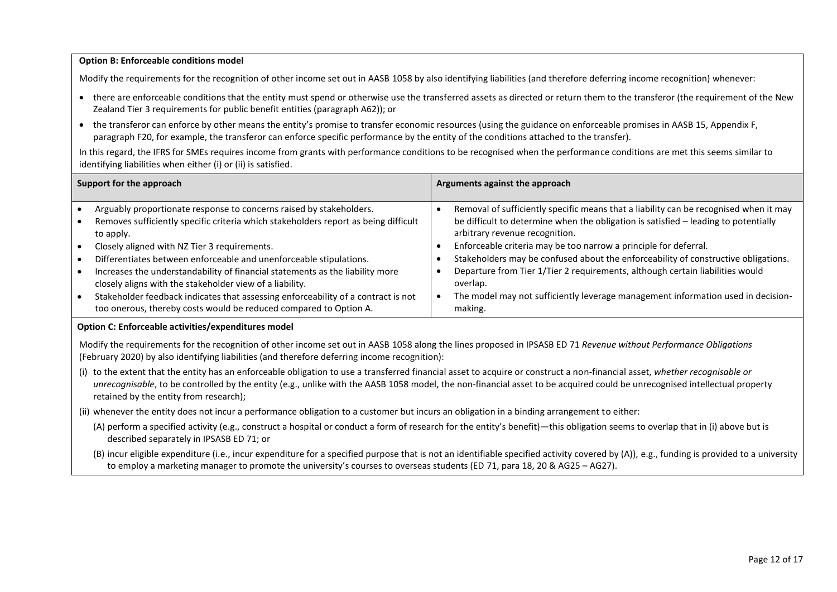#### **Option B: Enforceable conditions model**

Modify the requirements for the recognition of other income set out in AASB 1058 by also identifying liabilities (and therefore deferring income recognition) whenever:

- there are enforceable conditions that the entity must spend or otherwise use the transferred assets as directed or return them to the transferor (the requirement of the New Zealand Tier 3 requirements for public benefit entities (paragraph A62)); or
- the transferor can enforce by other means the entity's promise to transfer economic resources (using the guidance on enforceable promises in AASB 15, Appendix F, paragraph F20, for example, the transferor can enforce specific performance by the entity of the conditions attached to the transfer).

In this regard, the IFRS for SMEs requires income from grants with performance conditions to be recognised when the performance conditions are met this seems similar to identifying liabilities when either (i) or (ii) is satisfied.

| Support for the approach                                                                                                                               | Arguments against the approach                                                                                        |
|--------------------------------------------------------------------------------------------------------------------------------------------------------|-----------------------------------------------------------------------------------------------------------------------|
| Arguably proportionate response to concerns raised by stakeholders.                                                                                    | Removal of sufficiently specific means that a liability can be recognised when it may                                 |
| Removes sufficiently specific criteria which stakeholders report as being difficult<br>to apply.                                                       | be difficult to determine when the obligation is satisfied - leading to potentially<br>arbitrary revenue recognition. |
| Closely aligned with NZ Tier 3 requirements.                                                                                                           | Enforceable criteria may be too narrow a principle for deferral.                                                      |
| Differentiates between enforceable and unenforceable stipulations.                                                                                     | Stakeholders may be confused about the enforceability of constructive obligations.                                    |
| Increases the understandability of financial statements as the liability more<br>closely aligns with the stakeholder view of a liability.              | Departure from Tier 1/Tier 2 requirements, although certain liabilities would<br>overlap.                             |
| Stakeholder feedback indicates that assessing enforceability of a contract is not<br>too onerous, thereby costs would be reduced compared to Option A. | The model may not sufficiently leverage management information used in decision-<br>making.                           |

#### **Option C: Enforceable activities/expenditures model**

Modify the requirements for the recognition of other income set out in AASB 1058 along the lines proposed in IPSASB ED 71 *Revenue without Performance Obligations* (February 2020) by also identifying liabilities (and therefore deferring income recognition):

(i) to the extent that the entity has an enforceable obligation to use a transferred financial asset to acquire or construct a non-financial asset, *whether recognisable or unrecognisable*, to be controlled by the entity (e.g., unlike with the AASB 1058 model, the non-financial asset to be acquired could be unrecognised intellectual property retained by the entity from research);

(ii) whenever the entity does not incur a performance obligation to a customer but incurs an obligation in a binding arrangement to either:

- (A) perform a specified activity (e.g., construct a hospital or conduct a form of research for the entity's benefit)—this obligation seems to overlap that in (i) above but is described separately in IPSASB ED 71; or
- (B) incur eligible expenditure (i.e., incur expenditure for a specified purpose that is not an identifiable specified activity covered by (A)), e.g., funding is provided to a university to employ a marketing manager to promote the university's courses to overseas students (ED 71, para 18, 20 & AG25 – AG27).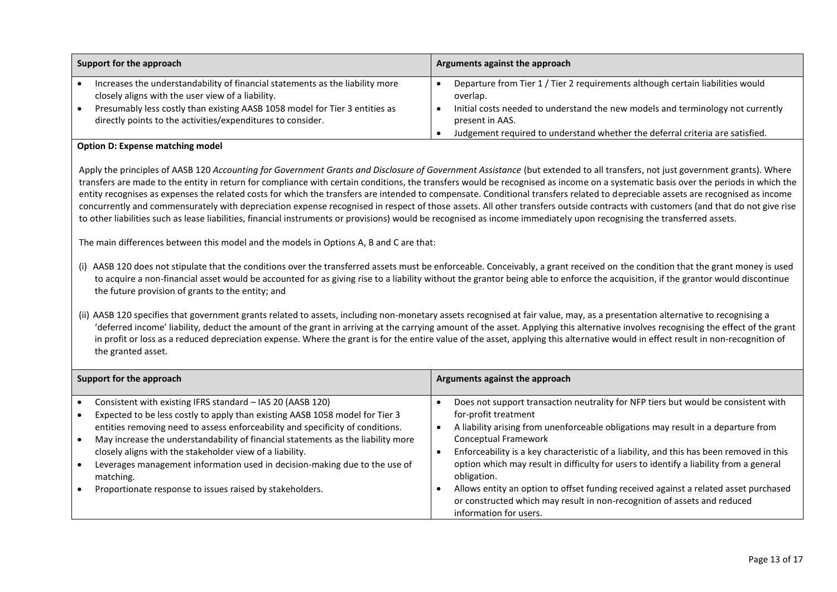| Support for the approach |                                                                                                                                                                                                                                                                                  | Arguments against the approach |                                                                                                                                                                                                  |
|--------------------------|----------------------------------------------------------------------------------------------------------------------------------------------------------------------------------------------------------------------------------------------------------------------------------|--------------------------------|--------------------------------------------------------------------------------------------------------------------------------------------------------------------------------------------------|
|                          | Increases the understandability of financial statements as the liability more<br>closely aligns with the user view of a liability.<br>Presumably less costly than existing AASB 1058 model for Tier 3 entities as<br>directly points to the activities/expenditures to consider. |                                | Departure from Tier 1 / Tier 2 requirements although certain liabilities would<br>overlap.<br>Initial costs needed to understand the new models and terminology not currently<br>present in AAS. |
|                          |                                                                                                                                                                                                                                                                                  |                                | Judgement required to understand whether the deferral criteria are satisfied.                                                                                                                    |

#### **Option D: Expense matching model**

Apply the principles of AASB 120 *Accounting for Government Grants and Disclosure of Government Assistance* (but extended to all transfers, not just government grants). Where transfers are made to the entity in return for compliance with certain conditions, the transfers would be recognised as income on a systematic basis over the periods in which the entity recognises as expenses the related costs for which the transfers are intended to compensate. Conditional transfers related to depreciable assets are recognised as income concurrently and commensurately with depreciation expense recognised in respect of those assets. All other transfers outside contracts with customers (and that do not give rise to other liabilities such as lease liabilities, financial instruments or provisions) would be recognised as income immediately upon recognising the transferred assets.

The main differences between this model and the models in Options A, B and C are that:

- (i) AASB 120 does not stipulate that the conditions over the transferred assets must be enforceable. Conceivably, a grant received on the condition that the grant money is used to acquire a non-financial asset would be accounted for as giving rise to a liability without the grantor being able to enforce the acquisition, if the grantor would discontinue the future provision of grants to the entity; and
- (ii) AASB 120 specifies that government grants related to assets, including non-monetary assets recognised at fair value, may, as a presentation alternative to recognising a 'deferred income' liability, deduct the amount of the grant in arriving at the carrying amount of the asset. Applying this alternative involves recognising the effect of the grant in profit or loss as a reduced depreciation expense. Where the grant is for the entire value of the asset, applying this alternative would in effect result in non-recognition of the granted asset.

| Support for the approach                                                                                                                                                                                                                                                                                                                                                                                                                                                                                                            | Arguments against the approach                                                                                                                                                                                                                                                                                                                                                                                                                                                                                                                                                                                             |  |  |
|-------------------------------------------------------------------------------------------------------------------------------------------------------------------------------------------------------------------------------------------------------------------------------------------------------------------------------------------------------------------------------------------------------------------------------------------------------------------------------------------------------------------------------------|----------------------------------------------------------------------------------------------------------------------------------------------------------------------------------------------------------------------------------------------------------------------------------------------------------------------------------------------------------------------------------------------------------------------------------------------------------------------------------------------------------------------------------------------------------------------------------------------------------------------------|--|--|
| Consistent with existing IFRS standard - IAS 20 (AASB 120)<br>Expected to be less costly to apply than existing AASB 1058 model for Tier 3<br>entities removing need to assess enforceability and specificity of conditions.<br>May increase the understandability of financial statements as the liability more<br>closely aligns with the stakeholder view of a liability.<br>Leverages management information used in decision-making due to the use of<br>matching.<br>Proportionate response to issues raised by stakeholders. | Does not support transaction neutrality for NFP tiers but would be consistent with<br>for-profit treatment<br>A liability arising from unenforceable obligations may result in a departure from<br>Conceptual Framework<br>Enforceability is a key characteristic of a liability, and this has been removed in this<br>option which may result in difficulty for users to identify a liability from a general<br>obligation.<br>Allows entity an option to offset funding received against a related asset purchased<br>or constructed which may result in non-recognition of assets and reduced<br>information for users. |  |  |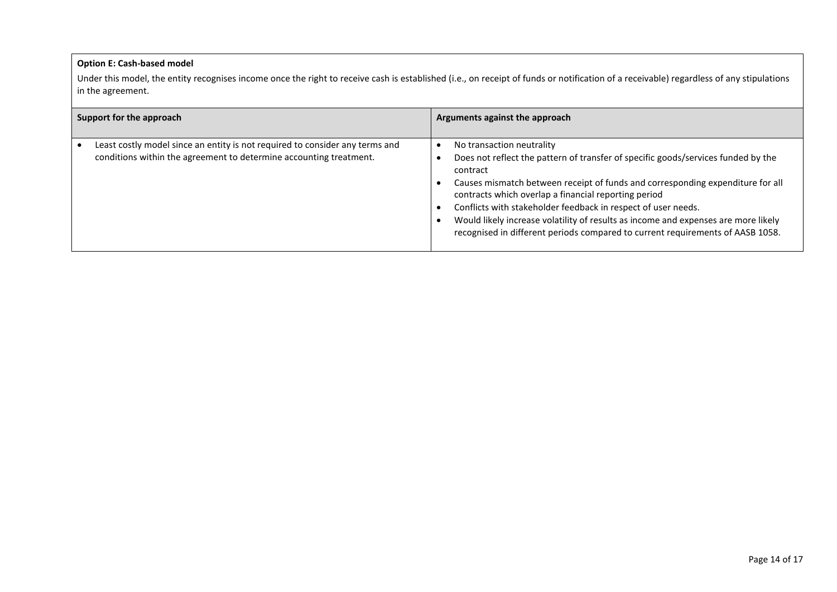#### **Option E: Cash-based model**

Under this model, the entity recognises income once the right to receive cash is established (i.e., on receipt of funds or notification of a receivable) regardless of any stipulations in the agreement.

| Support for the approach                                                                                                                           | Arguments against the approach                                                                                                                                                                                                                                                                                                                                                                                                                                                                                |  |
|----------------------------------------------------------------------------------------------------------------------------------------------------|---------------------------------------------------------------------------------------------------------------------------------------------------------------------------------------------------------------------------------------------------------------------------------------------------------------------------------------------------------------------------------------------------------------------------------------------------------------------------------------------------------------|--|
| Least costly model since an entity is not required to consider any terms and<br>conditions within the agreement to determine accounting treatment. | No transaction neutrality<br>Does not reflect the pattern of transfer of specific goods/services funded by the<br>contract<br>Causes mismatch between receipt of funds and corresponding expenditure for all<br>contracts which overlap a financial reporting period<br>Conflicts with stakeholder feedback in respect of user needs.<br>Would likely increase volatility of results as income and expenses are more likely<br>recognised in different periods compared to current requirements of AASB 1058. |  |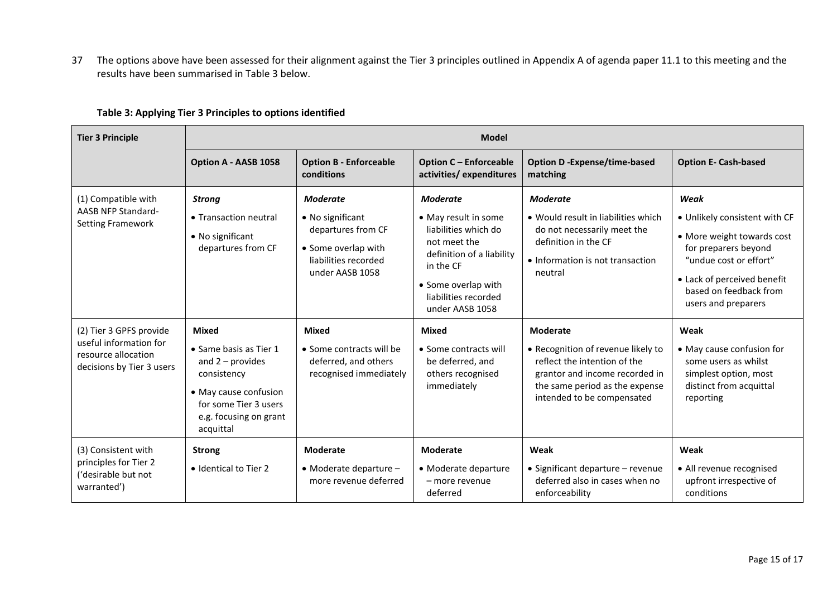37 The options above have been assessed for their alignment against the Tier 3 principles outlined in Appendix A of agenda paper 11.1 to this meeting and the results have been summarised in Table 3 below.

| <b>Tier 3 Principle</b>                                                                               | <b>Model</b>                                                                                                                                                         |                                                                                                                             |                                                                                                                                                                                      |                                                                                                                                                                                         |                                                                                                                                                                                                       |
|-------------------------------------------------------------------------------------------------------|----------------------------------------------------------------------------------------------------------------------------------------------------------------------|-----------------------------------------------------------------------------------------------------------------------------|--------------------------------------------------------------------------------------------------------------------------------------------------------------------------------------|-----------------------------------------------------------------------------------------------------------------------------------------------------------------------------------------|-------------------------------------------------------------------------------------------------------------------------------------------------------------------------------------------------------|
|                                                                                                       | Option A - AASB 1058                                                                                                                                                 | <b>Option B - Enforceable</b><br>conditions                                                                                 | <b>Option C - Enforceable</b><br>activities/expenditures                                                                                                                             | <b>Option D-Expense/time-based</b><br>matching                                                                                                                                          | <b>Option E- Cash-based</b>                                                                                                                                                                           |
| (1) Compatible with<br><b>AASB NFP Standard-</b><br><b>Setting Framework</b>                          | <b>Strong</b><br>• Transaction neutral<br>• No significant<br>departures from CF                                                                                     | <b>Moderate</b><br>• No significant<br>departures from CF<br>• Some overlap with<br>liabilities recorded<br>under AASB 1058 | Moderate<br>• May result in some<br>liabilities which do<br>not meet the<br>definition of a liability<br>in the CF<br>• Some overlap with<br>liabilities recorded<br>under AASB 1058 | <b>Moderate</b><br>• Would result in liabilities which<br>do not necessarily meet the<br>definition in the CF<br>• Information is not transaction<br>neutral                            | Weak<br>· Unlikely consistent with CF<br>• More weight towards cost<br>for preparers beyond<br>"undue cost or effort"<br>• Lack of perceived benefit<br>based on feedback from<br>users and preparers |
| (2) Tier 3 GPFS provide<br>useful information for<br>resource allocation<br>decisions by Tier 3 users | <b>Mixed</b><br>• Same basis as Tier 1<br>and $2$ – provides<br>consistency<br>• May cause confusion<br>for some Tier 3 users<br>e.g. focusing on grant<br>acquittal | <b>Mixed</b><br>• Some contracts will be<br>deferred, and others<br>recognised immediately                                  | <b>Mixed</b><br>• Some contracts will<br>be deferred, and<br>others recognised<br>immediately                                                                                        | <b>Moderate</b><br>• Recognition of revenue likely to<br>reflect the intention of the<br>grantor and income recorded in<br>the same period as the expense<br>intended to be compensated | Weak<br>• May cause confusion for<br>some users as whilst<br>simplest option, most<br>distinct from acquittal<br>reporting                                                                            |
| (3) Consistent with<br>principles for Tier 2<br>('desirable but not<br>warranted')                    | <b>Strong</b><br>• Identical to Tier 2                                                                                                                               | <b>Moderate</b><br>$\bullet$ Moderate departure $-$<br>more revenue deferred                                                | <b>Moderate</b><br>• Moderate departure<br>- more revenue<br>deferred                                                                                                                | Weak<br>• Significant departure - revenue<br>deferred also in cases when no<br>enforceability                                                                                           | Weak<br>• All revenue recognised<br>upfront irrespective of<br>conditions                                                                                                                             |

# **Table 3: Applying Tier 3 Principles to options identified**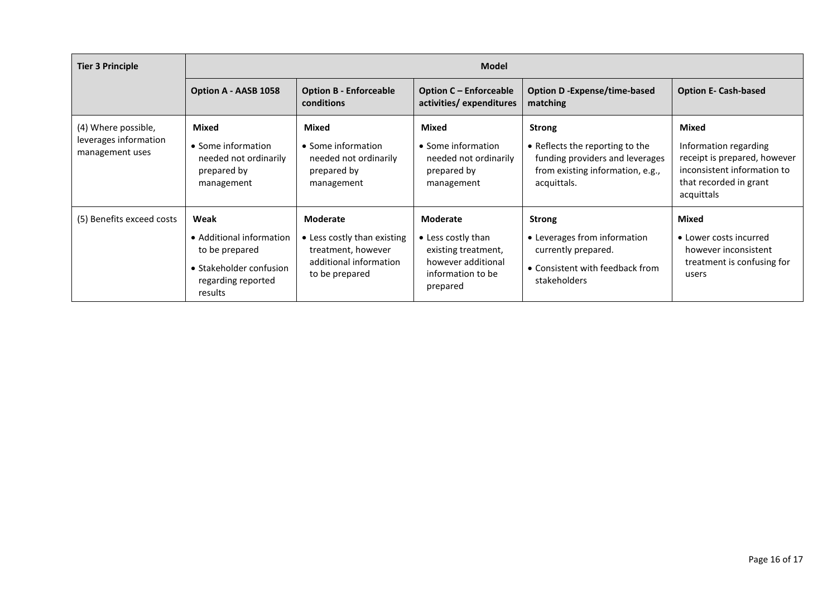| <b>Tier 3 Principle</b>                                         | <b>Model</b>                                                                                                   |                                                                                                           |                                                                                                              |                                                                                                                                        |                                                                                                                                       |  |
|-----------------------------------------------------------------|----------------------------------------------------------------------------------------------------------------|-----------------------------------------------------------------------------------------------------------|--------------------------------------------------------------------------------------------------------------|----------------------------------------------------------------------------------------------------------------------------------------|---------------------------------------------------------------------------------------------------------------------------------------|--|
|                                                                 | Option A - AASB 1058                                                                                           | <b>Option B - Enforceable</b><br>conditions                                                               | <b>Option C - Enforceable</b><br>activities/expenditures                                                     | <b>Option D-Expense/time-based</b><br>matching                                                                                         | <b>Option E- Cash-based</b>                                                                                                           |  |
| (4) Where possible,<br>leverages information<br>management uses | Mixed<br>• Some information<br>needed not ordinarily<br>prepared by<br>management                              | Mixed<br>• Some information<br>needed not ordinarily<br>prepared by<br>management                         | Mixed<br>• Some information<br>needed not ordinarily<br>prepared by<br>management                            | <b>Strong</b><br>• Reflects the reporting to the<br>funding providers and leverages<br>from existing information, e.g.,<br>acquittals. | Mixed<br>Information regarding<br>receipt is prepared, however<br>inconsistent information to<br>that recorded in grant<br>acquittals |  |
| (5) Benefits exceed costs                                       | Weak<br>• Additional information<br>to be prepared<br>• Stakeholder confusion<br>regarding reported<br>results | Moderate<br>• Less costly than existing<br>treatment, however<br>additional information<br>to be prepared | Moderate<br>• Less costly than<br>existing treatment,<br>however additional<br>information to be<br>prepared | <b>Strong</b><br>• Leverages from information<br>currently prepared.<br>• Consistent with feedback from<br>stakeholders                | Mixed<br>• Lower costs incurred<br>however inconsistent<br>treatment is confusing for<br>users                                        |  |